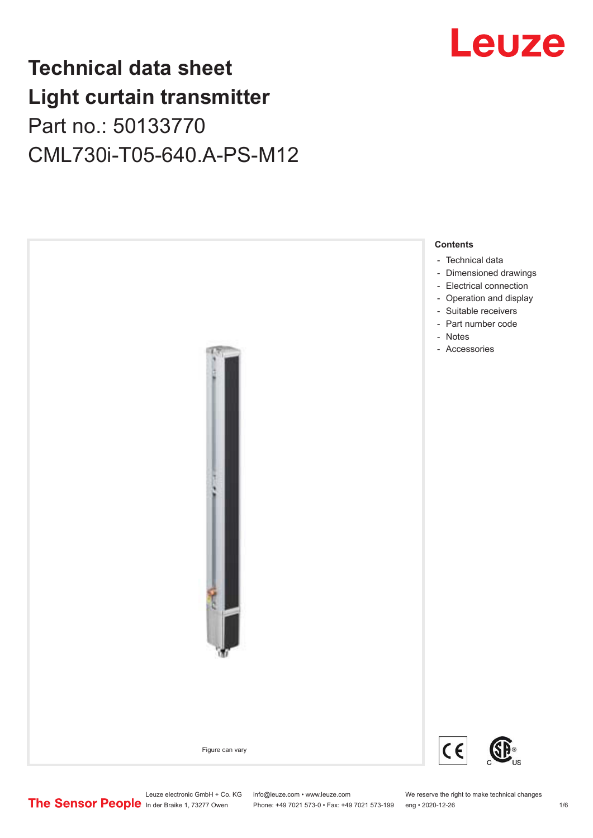# **Technical data sheet Light curtain transmitter** Part no.: 50133770 CML730i-T05-640.A-PS-M12



# Leuze

Leuze electronic GmbH + Co. KG info@leuze.com • www.leuze.com We reserve the right to make technical changes<br>
The Sensor People in der Braike 1, 73277 Owen Phone: +49 7021 573-0 • Fax: +49 7021 573-199 eng • 2020-12-26

Phone: +49 7021 573-0 • Fax: +49 7021 573-199 eng • 2020-12-26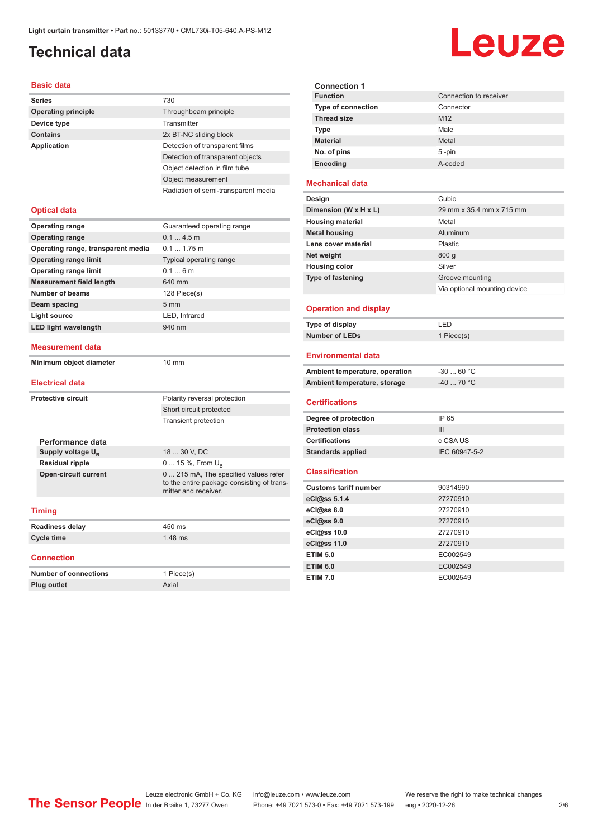# <span id="page-1-0"></span>**Technical data**

| <b>Basic data</b>                  |                                     |  |
|------------------------------------|-------------------------------------|--|
| <b>Series</b>                      | 730                                 |  |
| <b>Operating principle</b>         | Throughbeam principle               |  |
| Device type                        | Transmitter                         |  |
| <b>Contains</b>                    | 2x BT-NC sliding block              |  |
| <b>Application</b>                 | Detection of transparent films      |  |
|                                    | Detection of transparent objects    |  |
|                                    | Object detection in film tube       |  |
|                                    | Object measurement                  |  |
|                                    | Radiation of semi-transparent media |  |
|                                    |                                     |  |
| <b>Optical data</b>                |                                     |  |
| <b>Operating range</b>             | Guaranteed operating range          |  |
| <b>Operating range</b>             | 0.14.5m                             |  |
| Operating range, transparent media | $0.11.75$ m                         |  |
| <b>Operating range limit</b>       | Typical operating range             |  |
| <b>Operating range limit</b>       | 0.16m                               |  |
| <b>Measurement field length</b>    | 640 mm                              |  |
| Number of beams                    | 128 Piece(s)                        |  |
| <b>Beam spacing</b>                | 5 <sub>mm</sub>                     |  |
| <b>Light source</b>                | LED, Infrared                       |  |
| <b>LED light wavelength</b>        | 940 nm                              |  |
| Measurement data                   |                                     |  |
| Minimum object diameter            | $10 \text{ mm}$                     |  |
| <b>Electrical data</b>             |                                     |  |
| <b>Protective circuit</b>          | Polarity reversal protection        |  |
|                                    | Short circuit protected             |  |
|                                    | <b>Transient protection</b>         |  |
| Porformanco data                   |                                     |  |

|  | Performance data            |                                                                                                             |
|--|-----------------------------|-------------------------------------------------------------------------------------------------------------|
|  | Supply voltage $U_{B}$      | 18  30 V, DC                                                                                                |
|  | <b>Residual ripple</b>      | 0  15 %, From $U_{\rm B}$                                                                                   |
|  | <b>Open-circuit current</b> | 0  215 mA, The specified values refer<br>to the entire package consisting of trans-<br>mitter and receiver. |
|  | <b>Timing</b>               |                                                                                                             |
|  | <b>Readiness delay</b>      | 450 ms                                                                                                      |

## **Cycle time** 1.48 ms

**Connection**

| Number of connections | 1 Piece(s) |
|-----------------------|------------|
| <b>Plug outlet</b>    | Axial      |

| <b>Connection 1</b>       |                        |  |
|---------------------------|------------------------|--|
| <b>Function</b>           | Connection to receiver |  |
| <b>Type of connection</b> | Connector              |  |
| <b>Thread size</b>        | M <sub>12</sub>        |  |
| Type                      | Male                   |  |
| <b>Material</b>           | Metal                  |  |
| No. of pins               | $5 - pin$              |  |
| Encoding                  | A-coded                |  |

#### **Mechanical data**

| Cubic                        |
|------------------------------|
| 29 mm x 35.4 mm x 715 mm     |
| Metal                        |
| Aluminum                     |
| <b>Plastic</b>               |
| 800q                         |
| Silver                       |
| Groove mounting              |
| Via optional mounting device |
|                              |

#### **Operation and display**

| Type of display | ' FD.      |
|-----------------|------------|
| Number of LEDs  | 1 Piece(s) |

#### **Environmental data**

| Ambient temperature, operation | -30  60 °C |
|--------------------------------|------------|
| Ambient temperature, storage   | -40  70 °C |

#### **Certifications**

| Degree of protection     | IP 65         |
|--------------------------|---------------|
| <b>Protection class</b>  | Ш             |
| <b>Certifications</b>    | c CSA US      |
| <b>Standards applied</b> | IEC 60947-5-2 |

#### **Classification**

| <b>Customs tariff number</b> | 90314990 |
|------------------------------|----------|
| eCl@ss 5.1.4                 | 27270910 |
| eCl@ss 8.0                   | 27270910 |
| eCl@ss 9.0                   | 27270910 |
| eCl@ss 10.0                  | 27270910 |
| eCl@ss 11.0                  | 27270910 |
| <b>ETIM 5.0</b>              | EC002549 |
| <b>ETIM 6.0</b>              | EC002549 |
| <b>ETIM 7.0</b>              | EC002549 |

# Leuze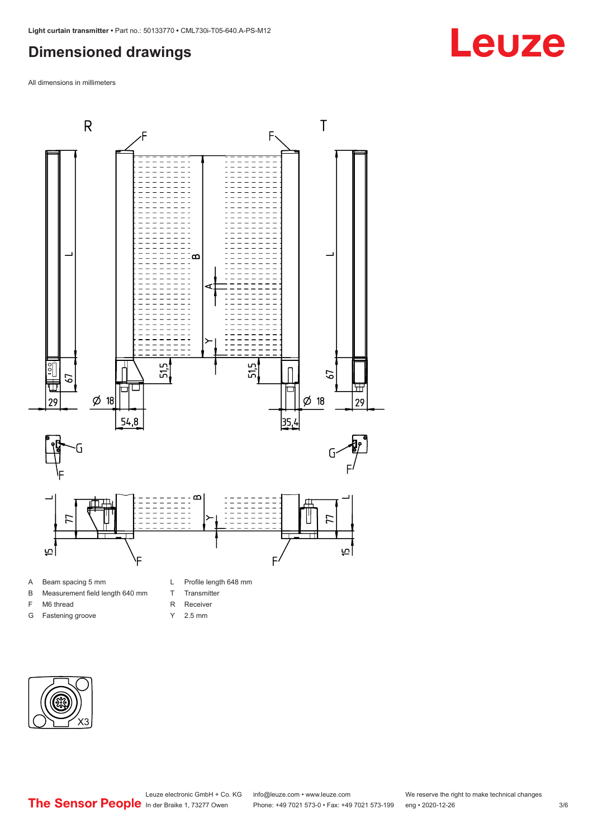# <span id="page-2-0"></span>**Dimensioned drawings**

All dimensions in millimeters



A Beam spacing 5 mm

F M6 thread G Fastening groove

- B Measurement field length 640 mm
	- T Transmitter R Receiver
	-
- Y 2.5 mm



**Leuze**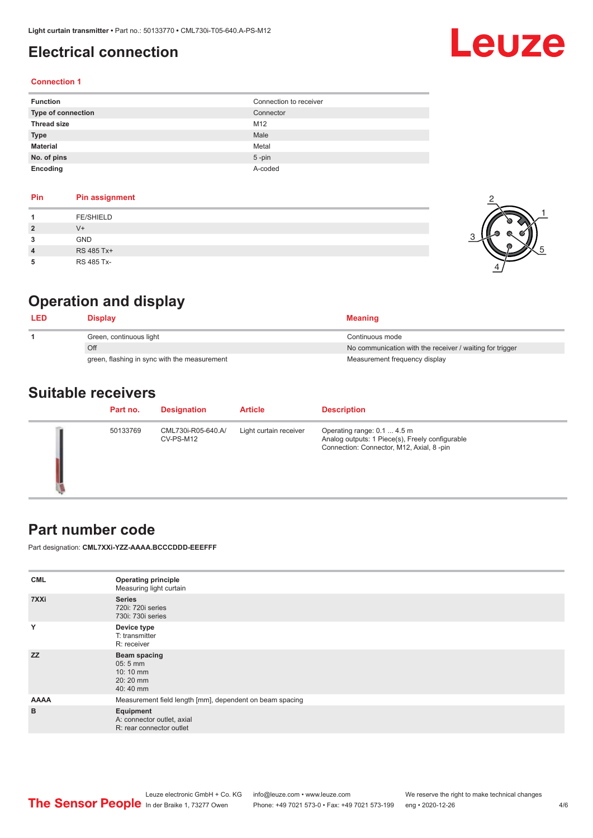# <span id="page-3-0"></span>**Electrical connection**

# Leuze

#### **Connection 1**

| <b>Function</b>    | Connection to receiver |
|--------------------|------------------------|
| Type of connection | Connector              |
| <b>Thread size</b> | M12                    |
| <b>Type</b>        | Male                   |
| <b>Material</b>    | Metal                  |
| No. of pins        | $5$ -pin               |
| Encoding           | A-coded                |

| Pin | <b>Pin assignment</b> |
|-----|-----------------------|
|     | <b>FE/SHIELD</b>      |
|     | $V +$                 |
|     | <b>GND</b>            |
| 4   | RS 485 Tx+            |
|     | RS 485 Tx-            |



# **Operation and display**

| LED | Displav                                      | <b>Meaning</b>                                           |
|-----|----------------------------------------------|----------------------------------------------------------|
|     | Green, continuous light                      | Continuous mode                                          |
|     | Off                                          | No communication with the receiver / waiting for trigger |
|     | green, flashing in sync with the measurement | Measurement frequency display                            |

# **Suitable receivers**

| Part no. | <b>Designation</b>              | <b>Article</b>         | <b>Description</b>                                                                                                         |
|----------|---------------------------------|------------------------|----------------------------------------------------------------------------------------------------------------------------|
| 50133769 | CML730i-R05-640.A/<br>CV-PS-M12 | Light curtain receiver | Operating range: 0.1  4.5 m<br>Analog outputs: 1 Piece(s), Freely configurable<br>Connection: Connector, M12, Axial, 8-pin |

### **Part number code**

Part designation: **CML7XXi-YZZ-AAAA.BCCCDDD-EEEFFF**

| <b>CML</b>  | <b>Operating principle</b><br>Measuring light curtain                              |  |  |  |
|-------------|------------------------------------------------------------------------------------|--|--|--|
| 7XXi        | <b>Series</b><br>720i: 720i series<br>730i: 730i series                            |  |  |  |
| Y           | Device type<br>T: transmitter<br>R: receiver                                       |  |  |  |
| <b>ZZ</b>   | <b>Beam spacing</b><br>$05:5$ mm<br>$10:10 \, \text{mm}$<br>$20:20$ mm<br>40:40 mm |  |  |  |
| <b>AAAA</b> | Measurement field length [mm], dependent on beam spacing                           |  |  |  |
| B           | Equipment<br>A: connector outlet, axial<br>R: rear connector outlet                |  |  |  |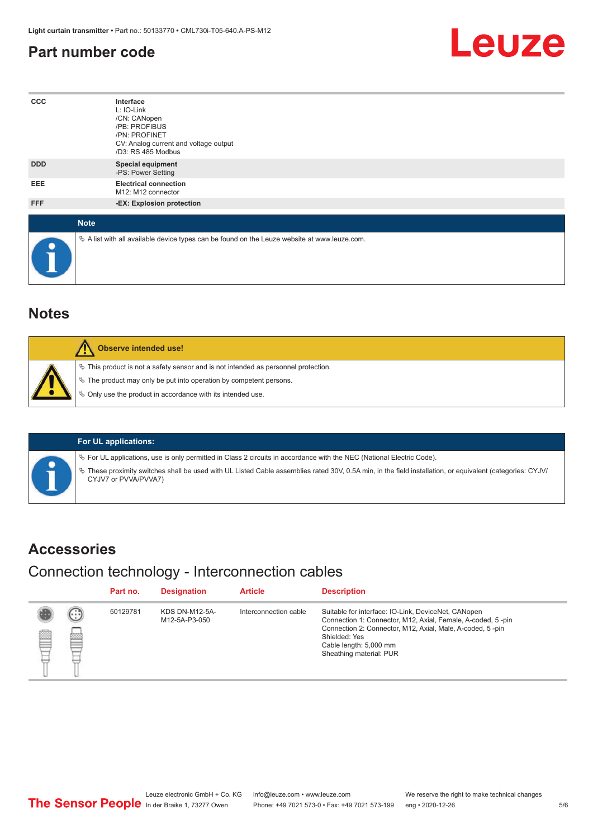# <span id="page-4-0"></span>**Part number code**



| $_{\rm ccc}$ | Interface<br>L: IO-Link<br>/CN: CANopen<br>/PB: PROFIBUS<br>/PN: PROFINET<br>CV: Analog current and voltage output<br>/D3: RS 485 Modbus |  |  |  |  |
|--------------|------------------------------------------------------------------------------------------------------------------------------------------|--|--|--|--|
| <b>DDD</b>   | <b>Special equipment</b><br>-PS: Power Setting                                                                                           |  |  |  |  |
| EEE          | <b>Electrical connection</b><br>M12: M12 connector                                                                                       |  |  |  |  |
| FFF          | -EX: Explosion protection                                                                                                                |  |  |  |  |
| <b>Note</b>  |                                                                                                                                          |  |  |  |  |
| $\bullet$    | $\&$ A list with all available device types can be found on the Leuze website at www.leuze.com.                                          |  |  |  |  |

## **Notes**

| Observe intended use!                                                                                                                                                                                                      |
|----------------------------------------------------------------------------------------------------------------------------------------------------------------------------------------------------------------------------|
| $\%$ This product is not a safety sensor and is not intended as personnel protection.<br>§ The product may only be put into operation by competent persons.<br>§ Only use the product in accordance with its intended use. |

#### **For UL applications:**

ª For UL applications, use is only permitted in Class 2 circuits in accordance with the NEC (National Electric Code).

ª These proximity switches shall be used with UL Listed Cable assemblies rated 30V, 0.5A min, in the field installation, or equivalent (categories: CYJV/ CYJV7 or PVVA/PVVA7)

### **Accessories**

## Connection technology - Interconnection cables

|   |         | Part no. | <b>Designation</b>                     | <b>Article</b>        | <b>Description</b>                                                                                                                                                                                                                                    |
|---|---------|----------|----------------------------------------|-----------------------|-------------------------------------------------------------------------------------------------------------------------------------------------------------------------------------------------------------------------------------------------------|
| § | (.<br>慾 | 50129781 | <b>KDS DN-M12-5A-</b><br>M12-5A-P3-050 | Interconnection cable | Suitable for interface: IO-Link, DeviceNet, CANopen<br>Connection 1: Connector, M12, Axial, Female, A-coded, 5-pin<br>Connection 2: Connector, M12, Axial, Male, A-coded, 5-pin<br>Shielded: Yes<br>Cable length: 5,000 mm<br>Sheathing material: PUR |